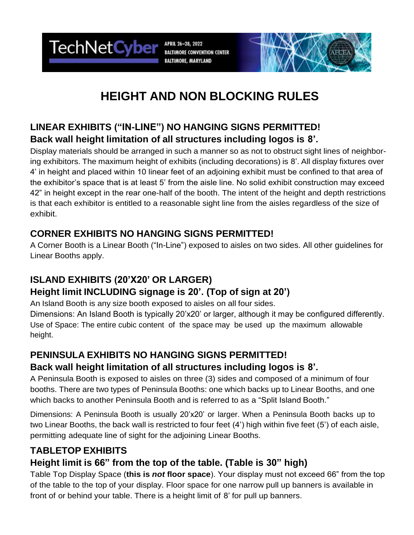TechNetCyber APRIL 26-28, 2022 **BALTIMORE CONVENTION CENTER BALTIMORE, MARYLAND** 



# **HEIGHT AND NON BLOCKING RULES**

### **LINEAR EXHIBITS ("IN-LINE") NO HANGING SIGNS PERMITTED! Back wall height limitation of all structures including logos is 8'.**

Display materials should be arranged in such a manner so as not to obstruct sight lines of neighboring exhibitors. The maximum height of exhibits (including decorations) is 8'. All display fixtures over 4' in height and placed within 10 linear feet of an adjoining exhibit must be confined to that area of the exhibitor's space that is at least 5' from the aisle line. No solid exhibit construction may exceed 42" in height except in the rear one-half of the booth. The intent of the height and depth restrictions is that each exhibitor is entitled to a reasonable sight line from the aisles regardless of the size of exhibit.

### **CORNER EXHIBITS NO HANGING SIGNS PERMITTED!**

A Corner Booth is a Linear Booth ("In-Line") exposed to aisles on two sides. All other guidelines for Linear Booths apply.

## **ISLAND EXHIBITS (20'X20' OR LARGER) Height limit INCLUDING signage is 20'. (Top of sign at 20')**

An Island Booth is any size booth exposed to aisles on all four sides. Dimensions: An Island Booth is typically 20'x20' or larger, although it may be configured differently. Use of Space: The entire cubic content of the space may be used up the maximum allowable height.

# **PENINSULA EXHIBITS NO HANGING SIGNS PERMITTED!**

#### **Back wall height limitation of all structures including logos is 8'.**

A Peninsula Booth is exposed to aisles on three (3) sides and composed of a minimum of four booths. There are two types of Peninsula Booths: one which backs up to Linear Booths, and one which backs to another Peninsula Booth and is referred to as a "Split Island Booth."

Dimensions: A Peninsula Booth is usually 20'x20' or larger. When a Peninsula Booth backs up to two Linear Booths, the back wall is restricted to four feet (4') high within five feet (5') of each aisle, permitting adequate line of sight for the adjoining Linear Booths.

# **TABLETOP EXHIBITS**

### **Height limit is 66" from the top of the table. (Table is 30" high)**

Table Top Display Space (**this is** *not* **floor space**). Your display must not exceed 66" from the top of the table to the top of your display. Floor space for one narrow pull up banners is available in front of or behind your table. There is a height limit of 8' for pull up banners.